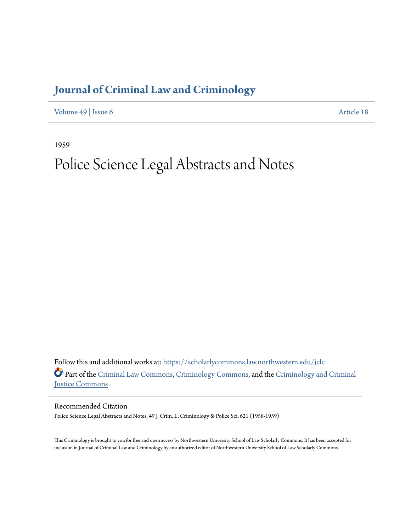## **[Journal of Criminal Law and Criminology](https://scholarlycommons.law.northwestern.edu/jclc?utm_source=scholarlycommons.law.northwestern.edu%2Fjclc%2Fvol49%2Fiss6%2F18&utm_medium=PDF&utm_campaign=PDFCoverPages)**

[Volume 49](https://scholarlycommons.law.northwestern.edu/jclc/vol49?utm_source=scholarlycommons.law.northwestern.edu%2Fjclc%2Fvol49%2Fiss6%2F18&utm_medium=PDF&utm_campaign=PDFCoverPages) | [Issue 6](https://scholarlycommons.law.northwestern.edu/jclc/vol49/iss6?utm_source=scholarlycommons.law.northwestern.edu%2Fjclc%2Fvol49%2Fiss6%2F18&utm_medium=PDF&utm_campaign=PDFCoverPages) [Article 18](https://scholarlycommons.law.northwestern.edu/jclc/vol49/iss6/18?utm_source=scholarlycommons.law.northwestern.edu%2Fjclc%2Fvol49%2Fiss6%2F18&utm_medium=PDF&utm_campaign=PDFCoverPages)

1959

## Police Science Legal Abstracts and Notes

Follow this and additional works at: [https://scholarlycommons.law.northwestern.edu/jclc](https://scholarlycommons.law.northwestern.edu/jclc?utm_source=scholarlycommons.law.northwestern.edu%2Fjclc%2Fvol49%2Fiss6%2F18&utm_medium=PDF&utm_campaign=PDFCoverPages) Part of the [Criminal Law Commons](http://network.bepress.com/hgg/discipline/912?utm_source=scholarlycommons.law.northwestern.edu%2Fjclc%2Fvol49%2Fiss6%2F18&utm_medium=PDF&utm_campaign=PDFCoverPages), [Criminology Commons](http://network.bepress.com/hgg/discipline/417?utm_source=scholarlycommons.law.northwestern.edu%2Fjclc%2Fvol49%2Fiss6%2F18&utm_medium=PDF&utm_campaign=PDFCoverPages), and the [Criminology and Criminal](http://network.bepress.com/hgg/discipline/367?utm_source=scholarlycommons.law.northwestern.edu%2Fjclc%2Fvol49%2Fiss6%2F18&utm_medium=PDF&utm_campaign=PDFCoverPages) [Justice Commons](http://network.bepress.com/hgg/discipline/367?utm_source=scholarlycommons.law.northwestern.edu%2Fjclc%2Fvol49%2Fiss6%2F18&utm_medium=PDF&utm_campaign=PDFCoverPages)

Recommended Citation

Police Science Legal Abstracts and Notes, 49 J. Crim. L. Criminology & Police Sci. 621 (1958-1959)

This Criminology is brought to you for free and open access by Northwestern University School of Law Scholarly Commons. It has been accepted for inclusion in Journal of Criminal Law and Criminology by an authorized editor of Northwestern University School of Law Scholarly Commons.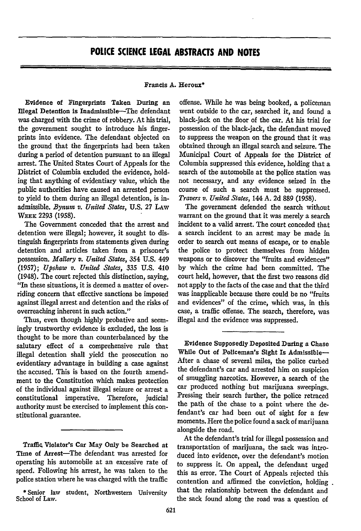## Francis **A.** Heroux\*

Evidence of Fingerprints Taken During an Illegal Detention is Inadmissible-The defendant was charged with the crime of robbery. At his trial, the government sought to introduce his fingerprints into evidence. The defendant objected on the ground that the fingerprints had been taken during a period of detention pursuant to an illegal arrest. The United States Court of Appeals for the District of Columbia excluded the evidence, holding that anything of evidentiary value, which the public authorities have caused an arrested person to yield to them during an illegal detention, is inadmissible. *Bynum v. United States,* U.S. 27 LAw WEEK **2293 (1958).**

The Government conceded that the arrest and detention were illegal; however, it sought to distinguish fingerprints from statements given during detention and articles taken from a prisoner's possession. *Mallory v. United States,* 354 **U.S.** 449 (1957); *Upshaw v. United States, 335* U.S. 410 (1948). The court rejected this distinction, saying, "In these situations, it is deemed a matter of overriding concern that effective sanctions be imposed against illegal arrest and detention and the risks of overreaching inherent in such action."

Thus, even though highly probative and seemingly trustworthy evidence is excluded, the loss is thought to be more than counterbalanced by the salutary effect of a comprehensive rule that illegal detention shall yield the prosecution no evidentiary advantage in building a case against the accused. This is based on the fourth amendment to the Constitution which makes protection of the individual against illegal seizure or arrest a constitutional imperative. Therefore, judicial authority must be exercised to implement this constitutional guarantee.

Traffic Violator's Car May Only be Searched at Time of Arrest-The defendant was arrested for operating his automobile at an excessive rate of speed. Following his arrest, he was taken to the police station where he was charged with the traffic

**\*** Senior law student, Northwestern University School of Law.

offense. While he was being booked, a policeman went outside to the car, searched it, and found a black-jack on the floor of the car. At his trial for possession of the black-jack, the defendant moved to suppress the weapon on the ground that it was obtained through an illegal search and seizure. The Municipal Court of Appeals for the District of Columbia suppressed this evidence, holding that a search of the automobile at the police station was not necessary, and any evidence seized in the course of such a search must be suppressed. *Travers v. United States,* 144 A. 2d 889 (1958).

The government defended the search without warrant on the ground that it was merely a search incident to a valid arrest. The court conceded that a search incident to an arrest may be made in order to search out means of escape, or to enable the police to protect themselves from hidden weapons or to discover the "fruits and evidences" by which the crime had been committed. The court held, however, that the first two reasons did not apply to the facts of the case and that the third was inapplicable because there could be no "fruits and evidences" of the crime, which was, in this case, a traffic offense. The search, therefore, was illegal and the evidence was suppressed.

Evidence Supposedly Deposited During a Chase While Out of Policeman's Sight Is Admissible-After a chase of several miles, the police curbed the defendant's car and arrested him on suspicion of smuggling narcotics. However, a search of the car produced nothing but marijuana sweepings. Pressing their search further, the police retraced the path of the chase to a point where the defendant's car had been out of sight for a few moments. Here the police found a sack of marijuana alongside the road.

At the defendant's trial for illegal possession and transportation of marijuana, the sack was introduced into evidence, over the defendant's motion to suppress it. On appeal, the defendant urged this as error. The Court of Appeals rejected this contention and affirmed the conviction, holding that the relationship between the defendant and the sack found along the road was a question of